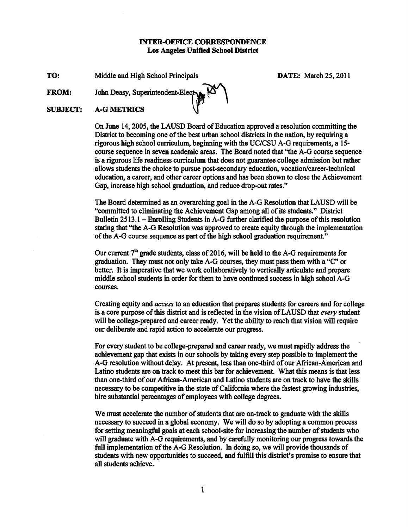## **INTER-OFFICE CORRESPONDENCE** Los Angeles Unified School District

TO: Middle and High School Principals **DATE:** March 25, 2011

**FROM:** 

John Deasy, Superintendent-Elected

#### **SUBJECT: A-G METRICS**

On June 14, 2005, the LAUSD Board of Education approved a resolution committing the District to becoming one of the best urban school districts in the nation, by requiring a rigorous high school curriculum, beginning with the UC/CSU A-G requirements, a 15course sequence in seven academic areas. The Board noted that "the A-G course sequence is a rigorous life readiness curriculum that does not guarantee college admission but rather allows students the choice to pursue post-secondary education, vocation/career-technical education, a career, and other career options and has been shown to close the Achievement Gap, increase high school graduation, and reduce drop-out rates."

The Board determined as an overarching goal in the A-G Resolution that LAUSD will be "committed to eliminating the Achievement Gap among all of its students." District Bulletin 2513.1 – Enrolling Students in A-G further clarified the purpose of this resolution stating that "the A-G Resolution was approved to create equity through the implementation of the A-G course sequence as part of the high school graduation requirement."

Our current  $7<sup>th</sup>$  grade students, class of 2016, will be held to the A-G requirements for graduation. They must not only take A-G courses, they must pass them with a "C" or better. It is imperative that we work collaboratively to vertically articulate and prepare middle school students in order for them to have continued success in high school A-G courses.

Creating equity and *access* to an education that prepares students for careers and for college is a core purpose of this district and is reflected in the vision of LAUSD that every student will be college-prepared and career ready. Yet the ability to reach that vision will require our deliberate and rapid action to accelerate our progress.

For every student to be college-prepared and career ready, we must rapidly address the achievement gap that exists in our schools by taking every step possible to implement the A-G resolution without delay. At present, less than one-third of our African-American and Latino students are on track to meet this bar for achievement. What this means is that less than one-third of our African-American and Latino students are on track to have the skills necessary to be competitive in the state of California where the fastest growing industries, hire substantial percentages of employees with college degrees.

We must accelerate the number of students that are on-track to graduate with the skills necessary to succeed in a global economy. We will do so by adopting a common process for setting meaningful goals at each school-site for increasing the number of students who will graduate with A-G requirements, and by carefully monitoring our progress towards the full implementation of the A-G Resolution. In doing so, we will provide thousands of students with new opportunities to succeed, and fulfill this district's promise to ensure that all students achieve.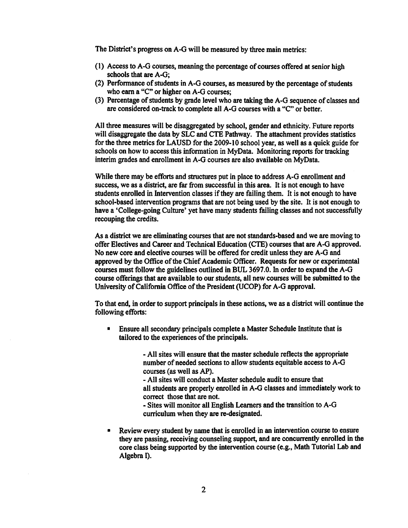The District's progress on A-G will be measured by three main metrics:

- (1) Access to A-G courses, meaning the percentage of courses offered at senior high schools that are A-G:
- (2) Performance of students in A-G courses, as measured by the percentage of students who earn a "C" or higher on A-G courses;
- (3) Percentage of students by grade level who are taking the A-G sequence of classes and are considered on-track to complete all A-G courses with a "C" or better.

All three measures will be disaggregated by school, gender and ethnicity. Future reports will disaggregate the data by SLC and CTE Pathway. The attachment provides statistics for the three metrics for LAUSD for the 2009-10 school year, as well as a quick guide for schools on how to access this information in MyData. Monitoring reports for tracking interim grades and enrollment in A-G courses are also available on MyData.

While there may be efforts and structures put in place to address A-G enrollment and success, we as a district, are far from successful in this area. It is not enough to have students enrolled in Intervention classes if they are failing them. It is not enough to have school-based intervention programs that are not being used by the site. It is not enough to have a 'College-going Culture' yet have many students failing classes and not successfully recouping the credits.

As a district we are eliminating courses that are not standards-based and we are moving to offer Electives and Career and Technical Education (CTE) courses that are A-G approved. No new core and elective courses will be offered for credit unless they are A-G and approved by the Office of the Chief Academic Officer. Requests for new or experimental courses must follow the guidelines outlined in BUL 3697.0. In order to expand the A-G course offerings that are available to our students, all new courses will be submitted to the University of California Office of the President (UCOP) for A-G approval.

To that end, in order to support principals in these actions, we as a district will continue the following efforts:

Ensure all secondary principals complete a Master Schedule Institute that is  $\blacksquare$ tailored to the experiences of the principals.

> - All sites will ensure that the master schedule reflects the appropriate number of needed sections to allow students equitable access to A-G courses (as well as AP).

- All sites will conduct a Master schedule audit to ensure that all students are properly enrolled in A-G classes and immediately work to correct those that are not.

- Sites will monitor all English Learners and the transition to A-G curriculum when they are re-designated.

Review every student by name that is enrolled in an intervention course to ensure they are passing, receiving counseling support, and are concurrently enrolled in the core class being supported by the intervention course (e.g., Math Tutorial Lab and Algebra I).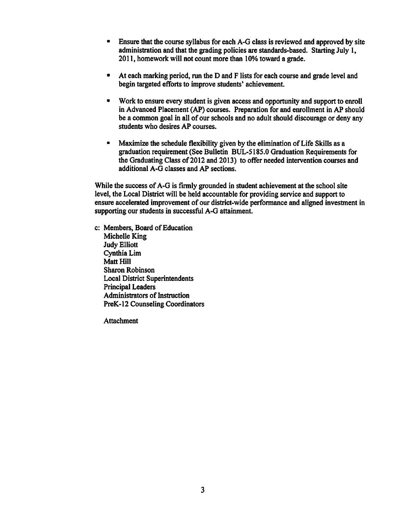- Ensure that the course syllabus for each A-G class is reviewed and approved by site  $\bullet$ administration and that the grading policies are standards-based. Starting July 1, 2011, homework will not count more than 10% toward a grade.
- At each marking period, run the D and F lists for each course and grade level and  $\bullet$ begin targeted efforts to improve students' achievement.
- $\blacksquare$ Work to ensure every student is given access and opportunity and support to enroll in Advanced Placement (AP) courses. Preparation for and enrollment in AP should be a common goal in all of our schools and no adult should discourage or deny any students who desires AP courses.
- $\blacksquare$ Maximize the schedule flexibility given by the elimination of Life Skills as a graduation requirement (See Bulletin BUL-5185.0 Graduation Requirements for the Graduating Class of 2012 and 2013) to offer needed intervention courses and additional A-G classes and AP sections.

While the success of A-G is firmly grounded in student achievement at the school site level, the Local District will be held accountable for providing service and support to ensure accelerated improvement of our district-wide performance and aligned investment in supporting our students in successful A-G attainment.

c: Members, Board of Education Michelle King **Judy Elliott** Cynthia Lim Matt Hill **Sharon Robinson Local District Superintendents Principal Leaders Administrators of Instruction PreK-12 Counseling Coordinators** 

**Attachment**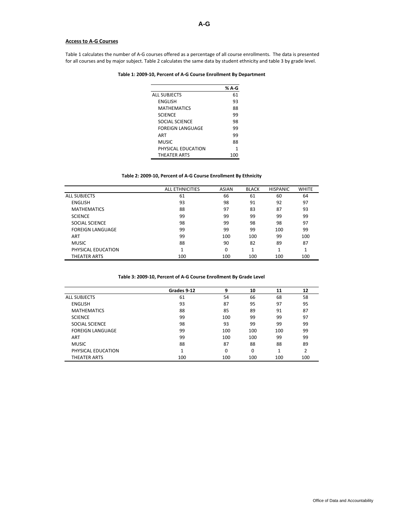## **Access to A-G Courses**

Table 1 calculates the number of A-G courses offered as a percentage of all course enrollments. The data is presented for all courses and by major subject. Table 2 calculates the same data by student ethnicity and table 3 by grade level.

## **Table 1: 2009-10, Percent of A-G Course Enrollment By Department**

|                         | % A-G |
|-------------------------|-------|
| <b>ALL SUBJECTS</b>     | 61    |
| <b>ENGLISH</b>          | 93    |
| <b>MATHEMATICS</b>      | 88    |
| <b>SCIENCE</b>          | 99    |
| SOCIAL SCIENCE          | 98    |
| <b>FOREIGN LANGUAGE</b> | 99    |
| ART                     | 99    |
| MUSIC                   | 88    |
| PHYSICAL EDUCATION      | 1     |
| <b>THEATER ARTS</b>     | 100   |

## **Table 2: 2009-10, Percent of A-G Course Enrollment By Ethnicity**

|                         | <b>ALL ETHNICITIES</b> | <b>ASIAN</b> | <b>BLACK</b> | <b>HISPANIC</b> | <b>WHITE</b> |
|-------------------------|------------------------|--------------|--------------|-----------------|--------------|
| <b>ALL SUBJECTS</b>     | 61                     | 66           | 61           | 60              | 64           |
| <b>ENGLISH</b>          | 93                     | 98           | 91           | 92              | 97           |
| <b>MATHEMATICS</b>      | 88                     | 97           | 83           | 87              | 93           |
| <b>SCIENCE</b>          | 99                     | 99           | 99           | 99              | 99           |
| SOCIAL SCIENCE          | 98                     | 99           | 98           | 98              | 97           |
| <b>FOREIGN LANGUAGE</b> | 99                     | 99           | 99           | 100             | 99           |
| ART                     | 99                     | 100          | 100          | 99              | 100          |
| <b>MUSIC</b>            | 88                     | 90           | 82           | 89              | 87           |
| PHYSICAL EDUCATION      | 1                      | $\Omega$     | 1            | 1               | 4            |
| THEATER ARTS            | 100                    | 100          | 100          | 100             | 100          |

## **Table 3: 2009-10, Percent of A-G Course Enrollment By Grade Level**

|                         | Grades 9-12 | 9        | 10  | 11  | 12            |
|-------------------------|-------------|----------|-----|-----|---------------|
| <b>ALL SUBJECTS</b>     | 61          | 54       | 66  | 68  | 58            |
| <b>ENGLISH</b>          | 93          | 87       | 95  | 97  | 95            |
| <b>MATHEMATICS</b>      | 88          | 85       | 89  | 91  | 87            |
| <b>SCIENCE</b>          | 99          | 100      | 99  | 99  | 97            |
| SOCIAL SCIENCE          | 98          | 93       | 99  | 99  | 99            |
| <b>FOREIGN LANGUAGE</b> | 99          | 100      | 100 | 100 | 99            |
| ART                     | 99          | 100      | 100 | 99  | 99            |
| <b>MUSIC</b>            | 88          | 87       | 88  | 88  | 89            |
| PHYSICAL EDUCATION      | 1           | $\Omega$ | 0   | ◢   | $\mathcal{D}$ |
| THEATER ARTS            | 100         | 100      | 100 | 100 | 100           |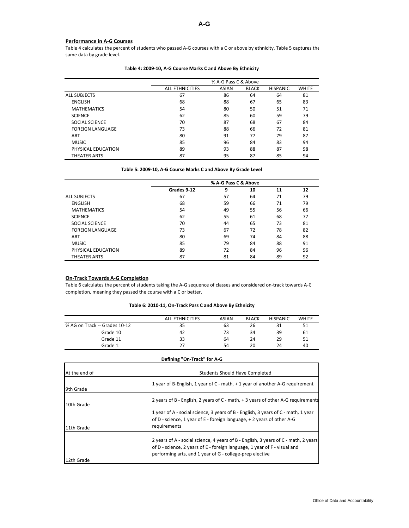## **Performance in A-G Courses**

Table 4 calculates the percent of students who passed A-G courses with a C or above by ethnicity. Table 5 captures the same data by grade level.

|                         | % A-G Pass C & Above   |              |              |                 |              |
|-------------------------|------------------------|--------------|--------------|-----------------|--------------|
|                         | <b>ALL ETHNICITIES</b> | <b>ASIAN</b> | <b>BLACK</b> | <b>HISPANIC</b> | <b>WHITE</b> |
| <b>ALL SUBJECTS</b>     | 67                     | 86           | 64           | 64              | 81           |
| <b>ENGLISH</b>          | 68                     | 88           | 67           | 65              | 83           |
| <b>MATHEMATICS</b>      | 54                     | 80           | 50           | 51              | 71           |
| <b>SCIENCE</b>          | 62                     | 85           | 60           | 59              | 79           |
| SOCIAL SCIENCE          | 70                     | 87           | 68           | 67              | 84           |
| <b>FOREIGN LANGUAGE</b> | 73                     | 88           | 66           | 72              | 81           |
| ART                     | 80                     | 91           | 77           | 79              | 87           |
| <b>MUSIC</b>            | 85                     | 96           | 84           | 83              | 94           |
| PHYSICAL EDUCATION      | 89                     | 93           | 88           | 87              | 98           |
| THEATER ARTS            | 87                     | 95           | 87           | 85              | 94           |

#### **Table 4: 2009-10, A-G Course Marks C and Above By Ethnicity**

### **Table 5: 2009-10, A-G Course Marks C and Above By Grade Level**

|                         | % A-G Pass C & Above |    |    |    |    |
|-------------------------|----------------------|----|----|----|----|
|                         | Grades 9-12          | 9  | 10 | 11 | 12 |
| <b>ALL SUBJECTS</b>     | 67                   | 57 | 64 | 71 | 79 |
| <b>ENGLISH</b>          | 68                   | 59 | 66 | 71 | 79 |
| <b>MATHEMATICS</b>      | 54                   | 49 | 55 | 56 | 66 |
| <b>SCIENCE</b>          | 62                   | 55 | 61 | 68 | 77 |
| SOCIAL SCIENCE          | 70                   | 44 | 65 | 73 | 81 |
| <b>FOREIGN LANGUAGE</b> | 73                   | 67 | 72 | 78 | 82 |
| ART                     | 80                   | 69 | 74 | 84 | 88 |
| <b>MUSIC</b>            | 85                   | 79 | 84 | 88 | 91 |
| PHYSICAL EDUCATION      | 89                   | 72 | 84 | 96 | 96 |
| THEATER ARTS            | 87                   | 81 | 84 | 89 | 92 |

## **On-Track Towards A-G Completion**

Table 6 calculates the percent of students taking the A-G sequence of classes and considered on-track towards A-G completion, meaning they passed the course with a C or better.

## **Table 6: 2010-11, On-Track Pass C and Above By Ethnicity**

|                               | <b>ALL ETHNICITIES</b> | <b>ASIAN</b> | <b>BLACK</b> | <b>HISPANIC</b> | <b>WHITE</b> |
|-------------------------------|------------------------|--------------|--------------|-----------------|--------------|
| % AG on Track -- Grades 10-12 | 35                     | 63           | 26           |                 | 51           |
| Grade 10                      | 42                     | 73           | 34           | 39              | 61           |
| Grade 11                      | 33                     | 64           | 24           | 29              | 51           |
| Grade 1.                      | 27                     | 54           | 20           | 24              | 40           |

**Defining "On-Track" for A-G**

| Defining On-Hack for A-G |                                                                                                                                                                                                                              |  |  |  |
|--------------------------|------------------------------------------------------------------------------------------------------------------------------------------------------------------------------------------------------------------------------|--|--|--|
| At the end of            | <b>Students Should Have Completed</b>                                                                                                                                                                                        |  |  |  |
| 9th Grade                | 1 year of B-English, 1 year of C - math, + 1 year of another A-G requirement                                                                                                                                                 |  |  |  |
| 10th Grade               | 2 years of B - English, 2 years of C - math, + 3 years of other A-G requirements                                                                                                                                             |  |  |  |
| 11th Grade               | 1 year of A - social science, 3 years of B - English, 3 years of C - math, 1 year<br>of D - science, 1 year of E - foreign language, + 2 years of other A-G<br>requirements                                                  |  |  |  |
| 12th Grade               | 2 years of A - social science, 4 years of B - English, 3 years of C - math, 2 years<br>of D - science, 2 years of E - foreign language, 1 year of F - visual and<br>performing arts, and 1 year of G - college-prep elective |  |  |  |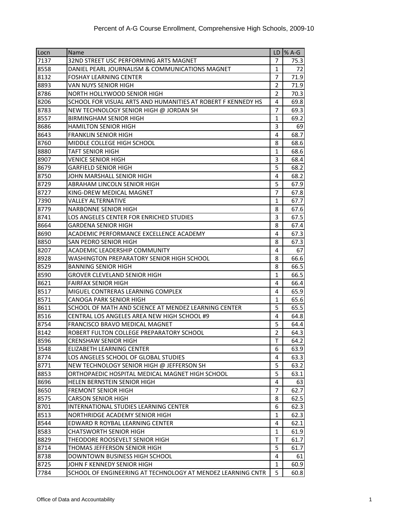| Locn | <b>Name</b>                                                  |                | $LD$ % A-G |
|------|--------------------------------------------------------------|----------------|------------|
| 7137 | 32ND STREET USC PERFORMING ARTS MAGNET                       | 7              | 75.3       |
| 8558 | DANIEL PEARL JOURNALISM & COMMUNICATIONS MAGNET              | $\mathbf{1}$   | 72         |
| 8132 | <b>FOSHAY LEARNING CENTER</b>                                | 7              | 71.9       |
| 8893 | VAN NUYS SENIOR HIGH                                         | $\overline{2}$ | 71.9       |
| 8786 | NORTH HOLLYWOOD SENIOR HIGH                                  | $\overline{2}$ | 70.3       |
| 8206 | SCHOOL FOR VISUAL ARTS AND HUMANITIES AT ROBERT F KENNEDY HS | 4              | 69.8       |
| 8783 | NEW TECHNOLOGY SENIOR HIGH @ JORDAN SH                       | $\overline{7}$ | 69.3       |
| 8557 | <b>BIRMINGHAM SENIOR HIGH</b>                                | 1              | 69.2       |
| 8686 | <b>HAMILTON SENIOR HIGH</b>                                  | 3              | 69         |
| 8643 | <b>FRANKLIN SENIOR HIGH</b>                                  | 4              | 68.7       |
| 8760 | MIDDLE COLLEGE HIGH SCHOOL                                   | 8              | 68.6       |
| 8880 | <b>TAFT SENIOR HIGH</b>                                      | $\mathbf{1}$   | 68.6       |
| 8907 | <b>VENICE SENIOR HIGH</b>                                    | 3              | 68.4       |
| 8679 | <b>GARFIELD SENIOR HIGH</b>                                  | 5              | 68.2       |
| 8750 | JOHN MARSHALL SENIOR HIGH                                    | 4              | 68.2       |
| 8729 | ABRAHAM LINCOLN SENIOR HIGH                                  | 5              | 67.9       |
| 8727 | KING-DREW MEDICAL MAGNET                                     | 7              | 67.8       |
| 7390 | <b>VALLEY ALTERNATIVE</b>                                    | 1              | 67.7       |
| 8779 | <b>NARBONNE SENIOR HIGH</b>                                  | 8              | 67.6       |
| 8741 | LOS ANGELES CENTER FOR ENRICHED STUDIES                      | 3              | 67.5       |
| 8664 | <b>GARDENA SENIOR HIGH</b>                                   | 8              | 67.4       |
| 8690 | ACADEMIC PERFORMANCE EXCELLENCE ACADEMY                      | 4              | 67.3       |
| 8850 | SAN PEDRO SENIOR HIGH                                        | 8              | 67.3       |
| 8207 | ACADEMIC LEADERSHIP COMMUNITY                                | 4              | 67         |
| 8928 | WASHINGTON PREPARATORY SENIOR HIGH SCHOOL                    | 8              | 66.6       |
| 8529 | <b>BANNING SENIOR HIGH</b>                                   | 8              | 66.5       |
| 8590 | <b>GROVER CLEVELAND SENIOR HIGH</b>                          | $\mathbf{1}$   | 66.5       |
| 8621 | <b>FAIRFAX SENIOR HIGH</b>                                   | 4              | 66.4       |
| 8517 | MIGUEL CONTRERAS LEARNING COMPLEX                            | 4              | 65.9       |
| 8571 | <b>CANOGA PARK SENIOR HIGH</b>                               | 1              | 65.6       |
| 8611 | SCHOOL OF MATH AND SCIENCE AT MENDEZ LEARNING CENTER         | 5              | 65.5       |
| 8516 | CENTRAL LOS ANGELES AREA NEW HIGH SCHOOL #9                  | 4              | 64.81      |
| 8754 | FRANCISCO BRAVO MEDICAL MAGNET                               | 5              | 64.4       |
| 8142 | ROBERT FULTON COLLEGE PREPARATORY SCHOOL                     | $\overline{2}$ | 64.3       |
| 8596 | <b>CRENSHAW SENIOR HIGH</b>                                  | т              | 64.2       |
| 3548 | ELIZABETH LEARNING CENTER                                    | 6              | 63.9       |
| 8774 | LOS ANGELES SCHOOL OF GLOBAL STUDIES                         | 4              | 63.3       |
| 8771 | NEW TECHNOLOGY SENIOR HIGH @ JEFFERSON SH                    | 5              | 63.2       |
| 8853 | ORTHOPAEDIC HOSPITAL MEDICAL MAGNET HIGH SCHOOL              | 5              | 63.1       |
| 8696 | HELEN BERNSTEIN SENIOR HIGH                                  | 4              | 63         |
| 8650 | <b>FREMONT SENIOR HIGH</b>                                   | 7              | 62.7       |
| 8575 | <b>CARSON SENIOR HIGH</b>                                    | 8              | 62.5       |
| 8701 | INTERNATIONAL STUDIES LEARNING CENTER                        | 6              | 62.3       |
| 8513 | NORTHRIDGE ACADEMY SENIOR HIGH                               | $\mathbf{1}$   | 62.3       |
| 8544 | EDWARD R ROYBAL LEARNING CENTER                              | 4              | 62.1       |
| 8583 | <b>CHATSWORTH SENIOR HIGH</b>                                | 1              | 61.9       |
| 8829 | THEODORE ROOSEVELT SENIOR HIGH                               | T              | 61.7       |
| 8714 | THOMAS JEFFERSON SENIOR HIGH                                 | 5              | 61.7       |
| 8738 | DOWNTOWN BUSINESS HIGH SCHOOL                                | 4              | 61         |
| 8725 | JOHN F KENNEDY SENIOR HIGH                                   | 1              | 60.9       |
| 7784 | SCHOOL OF ENGINEERING AT TECHNOLOGY AT MENDEZ LEARNING CNTR  | 5              | 60.8       |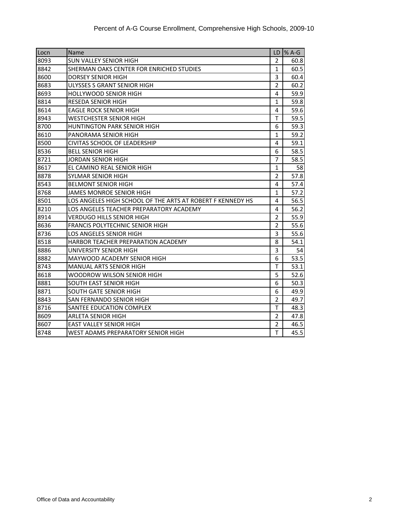| Locn | Name                                                       |                | LD $\%$ A-G |
|------|------------------------------------------------------------|----------------|-------------|
| 8093 | SUN VALLEY SENIOR HIGH                                     | $\overline{2}$ | 60.8        |
| 8842 | SHERMAN OAKS CENTER FOR ENRICHED STUDIES                   | 1              | 60.5        |
| 8600 | <b>DORSEY SENIOR HIGH</b>                                  | 3              | 60.4        |
| 8683 | ULYSSES S GRANT SENIOR HIGH                                | $\overline{2}$ | 60.2        |
| 8693 | <b>HOLLYWOOD SENIOR HIGH</b>                               | 4              | 59.9        |
| 8814 | <b>RESEDA SENIOR HIGH</b>                                  | 1              | 59.8        |
| 8614 | <b>EAGLE ROCK SENIOR HIGH</b>                              | 4              | 59.6        |
| 8943 | <b>WESTCHESTER SENIOR HIGH</b>                             | T              | 59.5        |
| 8700 | <b>HUNTINGTON PARK SENIOR HIGH</b>                         | 6              | 59.3        |
| 8610 | PANORAMA SENIOR HIGH                                       | 1              | 59.2        |
| 8500 | <b>CIVITAS SCHOOL OF LEADERSHIP</b>                        | 4              | 59.1        |
| 8536 | <b>BELL SENIOR HIGH</b>                                    | 6              | 58.5        |
| 8721 | <b>JORDAN SENIOR HIGH</b>                                  | $\overline{7}$ | 58.5        |
| 8617 | EL CAMINO REAL SENIOR HIGH                                 | $\mathbf{1}$   | 58          |
| 8878 | SYLMAR SENIOR HIGH                                         | $\overline{2}$ | 57.8        |
| 8543 | <b>BELMONT SENIOR HIGH</b>                                 | 4              | 57.4        |
| 8768 | <b>JAMES MONROE SENIOR HIGH</b>                            | $\mathbf{1}$   | 57.2        |
| 8501 | LOS ANGELES HIGH SCHOOL OF THE ARTS AT ROBERT F KENNEDY HS | 4              | 56.5        |
| 8210 | LOS ANGELES TEACHER PREPARATORY ACADEMY                    | 4              | 56.2        |
| 8914 | <b>VERDUGO HILLS SENIOR HIGH</b>                           | $\overline{2}$ | 55.9        |
| 8636 | <b>FRANCIS POLYTECHNIC SENIOR HIGH</b>                     | $\overline{2}$ | 55.6        |
| 8736 | LOS ANGELES SENIOR HIGH                                    | 3              | 55.6        |
| 8518 | HARBOR TEACHER PREPARATION ACADEMY                         | 8              | 54.1        |
| 8886 | UNIVERSITY SENIOR HIGH                                     | 3              | 54          |
| 8882 | MAYWOOD ACADEMY SENIOR HIGH                                | 6              | 53.5        |
| 8743 | MANUAL ARTS SENIOR HIGH                                    | T              | 53.1        |
| 8618 | <b>WOODROW WILSON SENIOR HIGH</b>                          | 5              | 52.6        |
| 8881 | SOUTH EAST SENIOR HIGH                                     | 6              | 50.3        |
| 8871 | <b>SOUTH GATE SENIOR HIGH</b>                              | 6              | 49.9        |
| 8843 | SAN FERNANDO SENIOR HIGH                                   | $\overline{2}$ | 49.7        |
| 8716 | SANTEE EDUCATION COMPLEX                                   | T              | 48.3        |
| 8609 | <b>ARLETA SENIOR HIGH</b>                                  | $\overline{2}$ | 47.8        |
| 8607 | <b>EAST VALLEY SENIOR HIGH</b>                             | $\overline{2}$ | 46.5        |
| 8748 | WEST ADAMS PREPARATORY SENIOR HIGH                         | T              | 45.5        |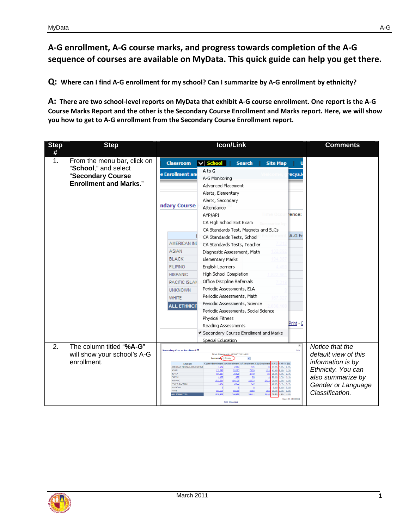# **A-G enrollment, A-G course marks, and progress towards completion of the A-G sequence of courses are available on MyData. This quick guide can help you get there.**

**Q: Where can I find A-G enrollment for my school? Can I summarize by A-G enrollment by ethnicity?** 

**A: There are two school-level reports on MyData that exhibit A-G course enrollment. One report is the A-G Course Marks Report and the other is the Secondary Course Enrollment and Marks report. Here, we will show you how to get to A-G enrollment from the Secondary Course Enrollment report.** 

| <b>Step</b><br># | <b>Step</b>                                                                                               | <b>Icon/Link</b>                                                                                                                                                                                                                                                                                                                                                                                                                                                                                                                                                                                                                                                                                                                                                                                                                                                                                                        | <b>Comments</b>                                                                                                                                  |
|------------------|-----------------------------------------------------------------------------------------------------------|-------------------------------------------------------------------------------------------------------------------------------------------------------------------------------------------------------------------------------------------------------------------------------------------------------------------------------------------------------------------------------------------------------------------------------------------------------------------------------------------------------------------------------------------------------------------------------------------------------------------------------------------------------------------------------------------------------------------------------------------------------------------------------------------------------------------------------------------------------------------------------------------------------------------------|--------------------------------------------------------------------------------------------------------------------------------------------------|
| 1.               | From the menu bar, click on<br>"School," and select<br>"Secondary Course<br><b>Enrollment and Marks."</b> | <b>Classroom</b><br>$\vee$ School<br><b>Search</b><br><b>Site Map</b><br>A to G<br>e Enrollment and<br>ecya.<br>A-G Monitoring<br>Advanced Placement<br>Alerts, Elementary<br>Alerts, Secondary<br>ndary Course<br>Attendance<br>rence:<br>AYP/API<br>CA High School Exit Exam<br>CA Standards Test, Magnets and SLCs<br>A-G Er<br>CA Standards Tests, School<br>AMERICAN IND<br>CA Standards Tests, Teacher<br><b>ASIAN</b><br>Diagnostic Assessment, Math<br><b>BLACK</b><br>Elementary Marks<br><b>FILIPINO</b><br>English Learners<br>High School Completion<br><b>HISPANIC</b><br>Office Discipline Referrals<br>PACIFIC ISLAN<br>Periodic Assessments, ELA<br><b>UNKNOWN</b><br>Periodic Assessments, Math<br><b>WHITE</b><br>Periodic Assessments, Science<br><b>ALL ETHNICI</b><br>Periodic Assessments, Social Science<br>Physical Fitness<br>Print - D<br>Reading Assessments                                 |                                                                                                                                                  |
|                  |                                                                                                           | Cecondary Course Enrollment and Marks<br><b>Special Education</b>                                                                                                                                                                                                                                                                                                                                                                                                                                                                                                                                                                                                                                                                                                                                                                                                                                                       |                                                                                                                                                  |
| 2.               | The column titled "%A-G"<br>will show your school's A-G<br>enrollment.                                    | $\overline{\mathbb{A}}$<br>Help<br>Secondary Course Enro∎ment □<br>Time Occurrence: JANUARY 2010-2011<br>Summarize by Ethnisis<br><b>GAP % ESL</b><br>Ethnicity<br><b>Course Eng</b><br>ollment A-G Enrollment AP Enrollment ESL Enr<br>37.2% 1.9% 0.9%<br>AMERICAN INDIANIAL ASKA NATIVE<br>135<br>7,212<br>2.684<br>66<br>1.529<br>41.9% 6.0% 1.2%<br>ASIAN<br>132,692<br>55,582<br>7,929<br><b>BLACK</b><br>194,387<br>70,609<br>2,449<br>155<br>36.3% 1.3% 0.1%<br><b>FL PIVO</b><br>23.5% 1.7% 1.1%<br>20<br>4,492<br>1,057<br>20.228<br>26.4% 1.5% 1.3%<br><b>HISPANIC</b><br>1,522,951<br>554,105<br>22.833<br>PACIFIC ISLANDER<br>25.0% 1.7% 1.1%<br>7,219<br>2,622<br>122<br>0.0% 0.0% 0.0%<br><b>UNKNOWN</b><br>167,027<br>59,368<br>5,054<br>1.040<br>35.5% 3.5% 0.6%<br>23,484 36.6% 1.9% 1.4%<br>2.038.108<br>748.029<br><b>ALL ETHMCITIE</b><br>39,411<br>Report For AGGISSION<br><b>Print - Download</b> | Notice that the<br>default view of this<br>information is by<br>Ethnicity. You can<br>also summarize by<br>Gender or Language<br>Classification. |

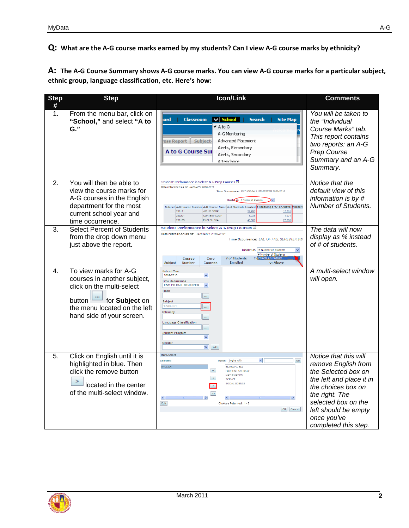**Q: What are the A-G course marks earned by my students? Can I view A-G course marks by ethnicity?** 

**A: The A-G Course Summary shows A-G course marks. You can view A-G course marks for a particular subject, ethnic group, language classification, etc. Here's how:** 

| <b>Step</b>    | <b>Step</b>                                                                                                                                                             | Icon/Link                                                                                                                                                                                                                                                                                                                                                                                                                        | <b>Comments</b>                                                                                                                                                                                                               |
|----------------|-------------------------------------------------------------------------------------------------------------------------------------------------------------------------|----------------------------------------------------------------------------------------------------------------------------------------------------------------------------------------------------------------------------------------------------------------------------------------------------------------------------------------------------------------------------------------------------------------------------------|-------------------------------------------------------------------------------------------------------------------------------------------------------------------------------------------------------------------------------|
| #<br>1.        | From the menu bar, click on<br>"School," and select "A to<br>G.                                                                                                         | <b>Classroom</b><br>$\vee$ School<br><b>Search</b><br><b>Site Map</b><br>ard<br>$\star$ A to G<br>A-G Monitorina<br><b>Advanced Placement</b><br>ess Report Subject-<br>Alerts, Elementary<br>A to G Course Sur<br>Alerts, Secondary<br>Attendance                                                                                                                                                                               | You will be taken to<br>the "Individual<br>Course Marks" tab.<br>This report contains<br>two reports: an A-G<br>Prep Course<br>Summary and an A-G<br>Summary.                                                                 |
| 2 <sub>1</sub> | You will then be able to<br>view the course marks for<br>A-G courses in the English<br>department for the most<br>current school year and<br>time occurrence.           | Student Performance in Select A-G Prep Courses ■<br>Data refreshed as of: JANUARY 2010-2011<br>Time Occurrence: END OF FALL SEMESTER 2009-2010<br>Displaces: # Number of Students<br>Subject A-G Course Number A-G Course Name # of Students Enrolled # Receiving a "C" or Above # Receivi<br>230111<br>AM LIT COMP<br>27,993<br>17.76'<br>230201<br>CONTEMP COMP<br>8,238<br>4,974<br>230109<br>ENGLISH 10A<br>43,909<br>27,600 | Notice that the<br>default view of this<br>information is by #<br><b>Number of Students.</b>                                                                                                                                  |
| 3.             | <b>Select Percent of Students</b><br>from the drop down menu<br>just above the report.                                                                                  | Student Performance in Select A-G Prep Courses ■<br>Data refreshed as of: JANUARY 2010-2011<br>Time Occurrence: END OF FALL SEMESTER 200<br>Display as: # Number of Students<br>$\overline{\mathbf{v}}$<br># Number of Students<br># of Students<br>ent of Students<br>Course<br>Core<br>#d<br>Subject<br>Number<br><b>Courses</b><br><b>Enrolled</b><br>or Above                                                                | The data will now<br>display as % instead<br>of # of students.                                                                                                                                                                |
| 4.             | To view marks for A-G<br>courses in another subject,<br>click on the multi-select<br>button for Subject on<br>the menu located on the left<br>hand side of your screen. | <b>School Year</b><br>2009-2010<br>v<br><b>Time Occurrence</b><br>END OF FALL SEMESTER<br>$\checkmark$<br>Track<br>$\bar{m}$<br>Subject<br><b>ENGLISH</b><br>$\cdots$<br>Ethnicity<br>$\bar{\bar{a}}$<br><b>Language Classification</b><br>$\cdots$<br><b>Student Program</b><br>×<br>Gender<br>$\sqrt{60}$                                                                                                                      | A multi-select window<br>will open.                                                                                                                                                                                           |
| 5.             | Click on English until it is<br>highlighted in blue. Then<br>click the remove button<br>located in the center<br>of the multi-select window.                            | Multi-Select<br>$\checkmark$<br>Go<br>Selected<br>Match: begins with<br><b>ENGLISH</b><br><b>BILINGUAL-ESL</b><br><b>FOREIGN LANGUAGE</b><br><b>MATHEMATICS</b><br><b>SCIENCE</b><br>SOCIAL SCIENCE<br>$\gg$<br>$\rightarrow$<br>K.<br>Edit<br>Choices Returned: 1 - 5<br>OK   Cancel                                                                                                                                            | Notice that this will<br>remove English from<br>the Selected box on<br>the left and place it in<br>the choices box on<br>the right. The<br>selected box on the<br>left should be empty<br>once you've<br>completed this step. |

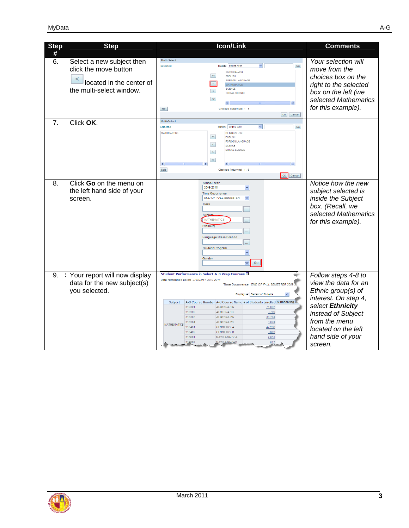| <b>Step</b> | <b>Step</b>                                                                                                     | <b>Icon/Link</b>                                                                                                                                                                                                                                                                                                                                                                                                                                                                                                                                                                | <b>Comments</b>                                                                                                                                                                                             |
|-------------|-----------------------------------------------------------------------------------------------------------------|---------------------------------------------------------------------------------------------------------------------------------------------------------------------------------------------------------------------------------------------------------------------------------------------------------------------------------------------------------------------------------------------------------------------------------------------------------------------------------------------------------------------------------------------------------------------------------|-------------------------------------------------------------------------------------------------------------------------------------------------------------------------------------------------------------|
| #           |                                                                                                                 |                                                                                                                                                                                                                                                                                                                                                                                                                                                                                                                                                                                 |                                                                                                                                                                                                             |
| 6.          | Select a new subject then<br>click the move button<br>≺<br>located in the center of<br>the multi-select window. | Multi-Select<br>$\checkmark$<br>Match: begins with<br>Go<br>Selected<br><b>BILINGUAL-ESL</b><br>$\ll$<br><b>ENGLISH</b><br><b>FOREIGN LANGUAGE</b><br>$\prec$<br><b>MATHEMATICS</b><br><b>SCIENCE</b><br>$\rightarrow$<br>SOCIAL SCIENCE<br>$\gg$<br>Edit<br>Choices Returned: 1 - 5<br>OK Cancel                                                                                                                                                                                                                                                                               | Your selection will<br>move from the<br>choices box on the<br>right to the selected<br>box on the left (we<br>selected Mathematics<br>for this example).                                                    |
| 7.          | Click OK.                                                                                                       | Multi-Select<br>$\checkmark$<br>Match: begins with<br>Go<br>Selected<br><b>MATHEMATICS</b><br><b>BILINGUAL-ESL</b><br>$\ll$<br><b>ENGLISH</b><br><b>FOREIGN LANGUAGE</b><br>$\prec$<br><b>SCIENCE</b><br>SOCIAL SCIENCE<br>$\rightarrow$<br>$\gg$<br>$\rightarrow$<br>Edit<br>Choices Returned: 1 - 5<br>OK<br>Cancel                                                                                                                                                                                                                                                           |                                                                                                                                                                                                             |
| 8.          | Click Go on the menu on<br>the left hand side of your<br>screen.                                                | <b>School Year</b><br>2009-2010<br>M<br><b>Time Occurrence</b><br>END OF FALL SEMESTER<br>$\checkmark$<br>Track<br>$\bar{m}$<br>Subiee<br><b>MATHEMATIO</b><br>$\alpha$<br><b>Ethnicity</b><br>$\alpha$<br><b>Language Classification</b><br>$\bar{m}$<br><b>Student Program</b><br>×<br>Gender<br>Go<br>v                                                                                                                                                                                                                                                                      | Notice how the new<br>subject selected is<br>inside the Subject<br>box. (Recall, we<br>selected Mathematics<br>for this example).                                                                           |
| 9.          | Your report will now display<br>data for the new subject(s)<br>you selected.                                    | Student Performance in Select A-G Prep Courses ■<br>Data refreshed as of: JANUARY 2010-2011<br>Time Occurrence: END OF FALL SEMESTER 2009<br>Display as: Percent of Students<br>A-G Course Number A-G Course Name # of Students Enrolled % Receiving<br>Subject<br>ALGEBRA 1A<br>310301<br>71,097<br>310302<br>ALGEBRA 1B<br>3,709<br>30,704<br>310303<br>ALGEBRA 2A<br>ALGEBRA 2B<br>310304<br>3,024<br><b>MATHEMATICS</b><br>310401<br><b>GEOMETRY A</b><br>47,298<br>310402<br><b>GEOMETRY B</b><br>3,803<br>310601<br>MATH ANALY A<br>7,051<br>617<br>319602<br>MATH ANALYS | Follow steps 4-8 to<br>view the data for an<br>Ethnic group(s) of<br>interest. On step 4,<br>select Ethnicity<br>instead of Subject<br>from the menu<br>located on the left<br>hand side of your<br>screen. |